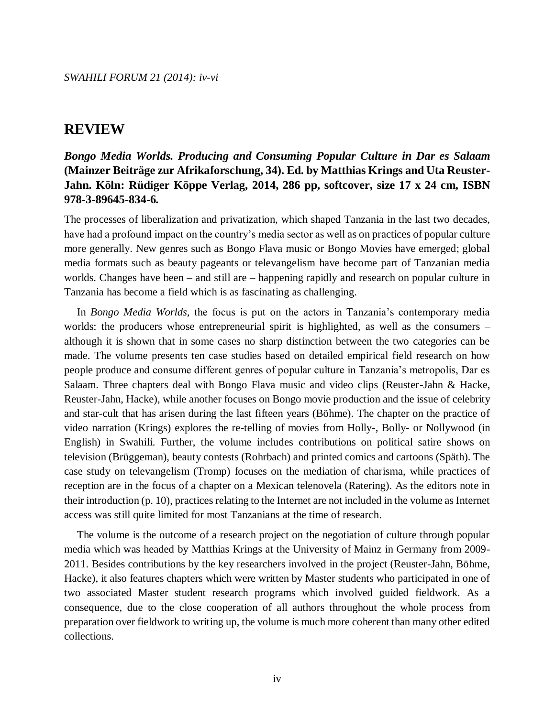## **REVIEW**

## *Bongo Media Worlds. Producing and Consuming Popular Culture in Dar es Salaam*  **(Mainzer Beiträge zur Afrikaforschung, 34). Ed. by Matthias Krings and Uta Reuster-Jahn. Köln: Rüdiger Köppe Verlag, 2014, 286 pp, softcover, size 17 x 24 cm, ISBN 978-3-89645-834-6***.*

The processes of liberalization and privatization, which shaped Tanzania in the last two decades, have had a profound impact on the country's media sector as well as on practices of popular culture more generally. New genres such as Bongo Flava music or Bongo Movies have emerged; global media formats such as beauty pageants or televangelism have become part of Tanzanian media worlds. Changes have been – and still are – happening rapidly and research on popular culture in Tanzania has become a field which is as fascinating as challenging.

In *Bongo Media Worlds,* the focus is put on the actors in Tanzania's contemporary media worlds: the producers whose entrepreneurial spirit is highlighted, as well as the consumers – although it is shown that in some cases no sharp distinction between the two categories can be made. The volume presents ten case studies based on detailed empirical field research on how people produce and consume different genres of popular culture in Tanzania's metropolis, Dar es Salaam. Three chapters deal with Bongo Flava music and video clips (Reuster-Jahn & Hacke, Reuster-Jahn, Hacke), while another focuses on Bongo movie production and the issue of celebrity and star-cult that has arisen during the last fifteen years (Böhme). The chapter on the practice of video narration (Krings) explores the re-telling of movies from Holly-, Bolly- or Nollywood (in English) in Swahili. Further, the volume includes contributions on political satire shows on television (Brüggeman), beauty contests (Rohrbach) and printed comics and cartoons (Späth). The case study on televangelism (Tromp) focuses on the mediation of charisma, while practices of reception are in the focus of a chapter on a Mexican telenovela (Ratering). As the editors note in their introduction (p. 10), practices relating to the Internet are not included in the volume as Internet access was still quite limited for most Tanzanians at the time of research.

The volume is the outcome of a research project on the negotiation of culture through popular media which was headed by Matthias Krings at the University of Mainz in Germany from 2009- 2011. Besides contributions by the key researchers involved in the project (Reuster-Jahn, Böhme, Hacke), it also features chapters which were written by Master students who participated in one of two associated Master student research programs which involved guided fieldwork. As a consequence, due to the close cooperation of all authors throughout the whole process from preparation over fieldwork to writing up, the volume is much more coherent than many other edited collections.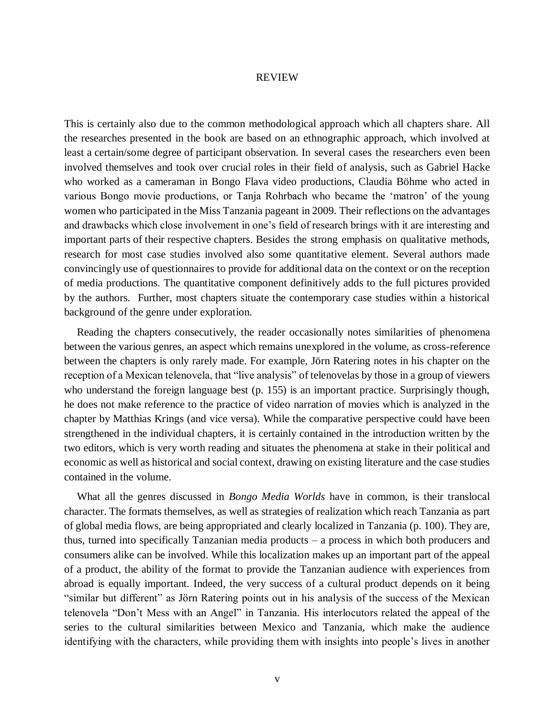## REVIEW

This is certainly also due to the common methodological approach which all chapters share. All the researches presented in the book are based on an ethnographic approach, which involved at least a certain/some degree of participant observation. In several cases the researchers even been involved themselves and took over crucial roles in their field of analysis, such as Gabriel Hacke who worked as a cameraman in Bongo Flava video productions, Claudia Böhme who acted in various Bongo movie productions, or Tanja Rohrbach who became the 'matron' of the young women who participated in the Miss Tanzania pageant in 2009. Their reflections on the advantages and drawbacks which close involvement in one's field of research brings with it are interesting and important parts of their respective chapters. Besides the strong emphasis on qualitative methods, research for most case studies involved also some quantitative element. Several authors made convincingly use of questionnaires to provide for additional data on the context or on the reception of media productions. The quantitative component definitively adds to the full pictures provided by the authors. Further, most chapters situate the contemporary case studies within a historical background of the genre under exploration.

Reading the chapters consecutively, the reader occasionally notes similarities of phenomena between the various genres, an aspect which remains unexplored in the volume, as cross-reference between the chapters is only rarely made. For example, Jörn Ratering notes in his chapter on the reception of a Mexican telenovela, that "live analysis" of telenovelas by those in a group of viewers who understand the foreign language best (p. 155) is an important practice. Surprisingly though, he does not make reference to the practice of video narration of movies which is analyzed in the chapter by Matthias Krings (and vice versa). While the comparative perspective could have been strengthened in the individual chapters, it is certainly contained in the introduction written by the two editors, which is very worth reading and situates the phenomena at stake in their political and economic as well as historical and social context, drawing on existing literature and the case studies contained in the volume.

What all the genres discussed in *Bongo Media Worlds* have in common, is their translocal character. The formats themselves, as well as strategies of realization which reach Tanzania as part of global media flows, are being appropriated and clearly localized in Tanzania (p. 100). They are, thus, turned into specifically Tanzanian media products – a process in which both producers and consumers alike can be involved. While this localization makes up an important part of the appeal of a product, the ability of the format to provide the Tanzanian audience with experiences from abroad is equally important. Indeed, the very success of a cultural product depends on it being "similar but different" as Jörn Ratering points out in his analysis of the success of the Mexican telenovela "Don't Mess with an Angel" in Tanzania. His interlocutors related the appeal of the series to the cultural similarities between Mexico and Tanzania, which make the audience identifying with the characters, while providing them with insights into people's lives in another